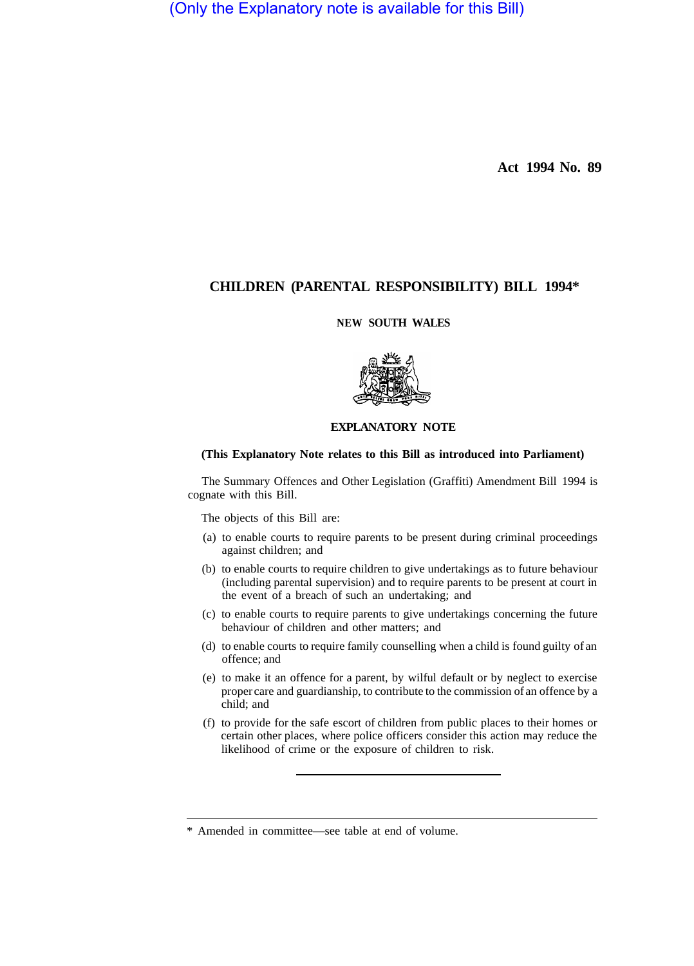(Only the Explanatory note is available for this Bill)

**Act 1994 No. 89** 

# **CHILDREN (PARENTAL RESPONSIBILITY) BILL 1994\***

## **NEW SOUTH WALES**



# **EXPLANATORY NOTE**

## **(This Explanatory Note relates to this Bill as introduced into Parliament)**

The Summary Offences and Other Legislation (Graffiti) Amendment Bill 1994 is cognate with this Bill.

The objects of this Bill are:

- (a) to enable courts to require parents to be present during criminal proceedings against children; and
- (b) to enable courts to require children to give undertakings as to future behaviour (including parental supervision) and to require parents to be present at court in the event of a breach of such an undertaking; and
- (c) to enable courts to require parents to give undertakings concerning the future behaviour of children and other matters; and
- (d) to enable courts to require family counselling when a child is found guilty of an offence; and
- (e) to make it an offence for a parent, by wilful default or by neglect to exercise proper care and guardianship, to contribute to the commission of an offence by a child; and
- (f) to provide for the safe escort of children from public places to their homes or certain other places, where police officers consider this action may reduce the likelihood of crime or the exposure of children to risk.

<sup>\*</sup> Amended in committee—see table at end of volume.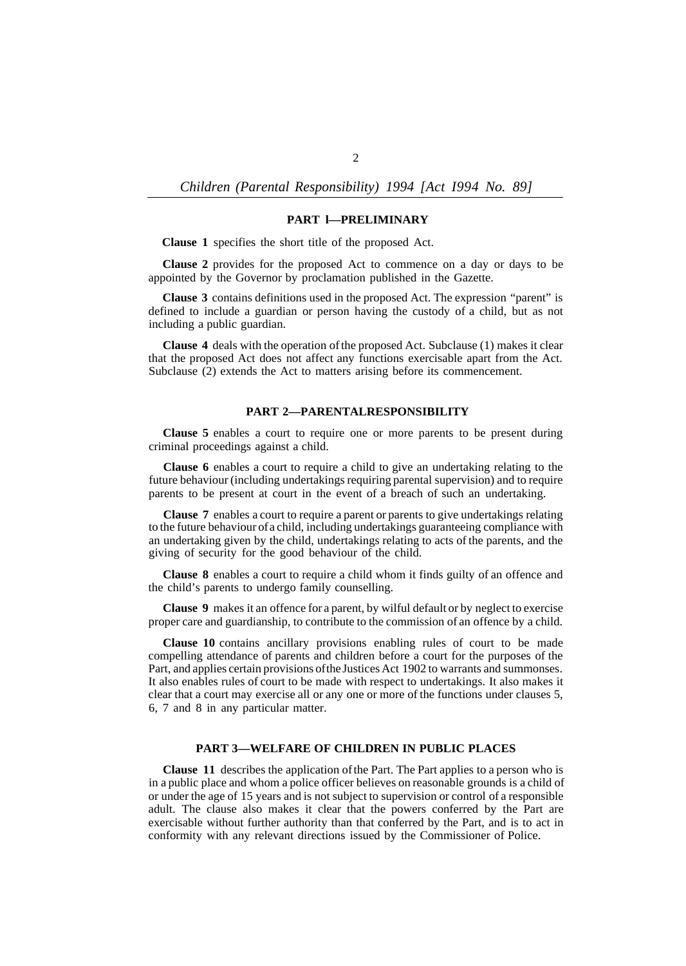*Children (Parental Responsibility) 1994 [Act I994 No. 89]* 

## **PART l—PRELIMINARY**

**Clause 1** specifies the short title of the proposed Act.

**Clause 2** provides for the proposed Act to commence on a day or days to be appointed by the Governor by proclamation published in the Gazette.

**Clause 3** contains definitions used in the proposed Act. The expression "parent" is defined to include a guardian or person having the custody of a child, but as not including a public guardian.

**Clause 4** deals with the operation of the proposed Act. Subclause (1) makes it clear that the proposed Act does not affect any functions exercisable apart from the Act. Subclause (2) extends the Act to matters arising before its commencement.

### **PART 2-PARENTALRESPONSIBILITY**

**Clause 5** enables a court to require one or more parents to be present during criminal proceedings against a child.

**Clause 6** enables a court to require a child to give an undertaking relating to the future behaviour (including undertakings requiring parental supervision) and to require parents to be present at court in the event of a breach of such an undertaking.

**Clause 7** enables a court to require a parent or parents to give undertakings relating to the future behaviour of a child, including undertakings guaranteeing compliance with an undertaking given by the child, undertakings relating to acts of the parents, and the giving of security for the good behaviour of the child.

**Clause 8** enables a court to require a child whom it finds guilty of an offence and the child's parents to undergo family counselling.

**Clause 9** makes it an offence for a parent, by wilful default or by neglect to exercise proper care and guardianship, to contribute to the commission of an offence by a child.

**Clause 10** contains ancillary provisions enabling rules of court to be made compelling attendance of parents and children before a court for the purposes of the Part, and applies certain provisions of the Justices Act 1902 to warrants and summonses. It also enables rules of court to be made with respect to undertakings. It also makes it clear that a court may exercise all or any one or more of the functions under clauses 5, 6, 7 and 8 in any particular matter.

### **PART 3—WELFARE OF CHILDREN IN PUBLIC PLACES**

**Clause 11** describes the application of the Part. The Part applies to a person who is in a public place and whom a police officer believes on reasonable grounds is a child of or under the age of 15 years and is not subject to supervision or control of a responsible adult. The clause also makes it clear that the powers conferred by the Part are exercisable without further authority than that conferred by the Part, and is to act in conformity with any relevant directions issued by the Commissioner of Police.